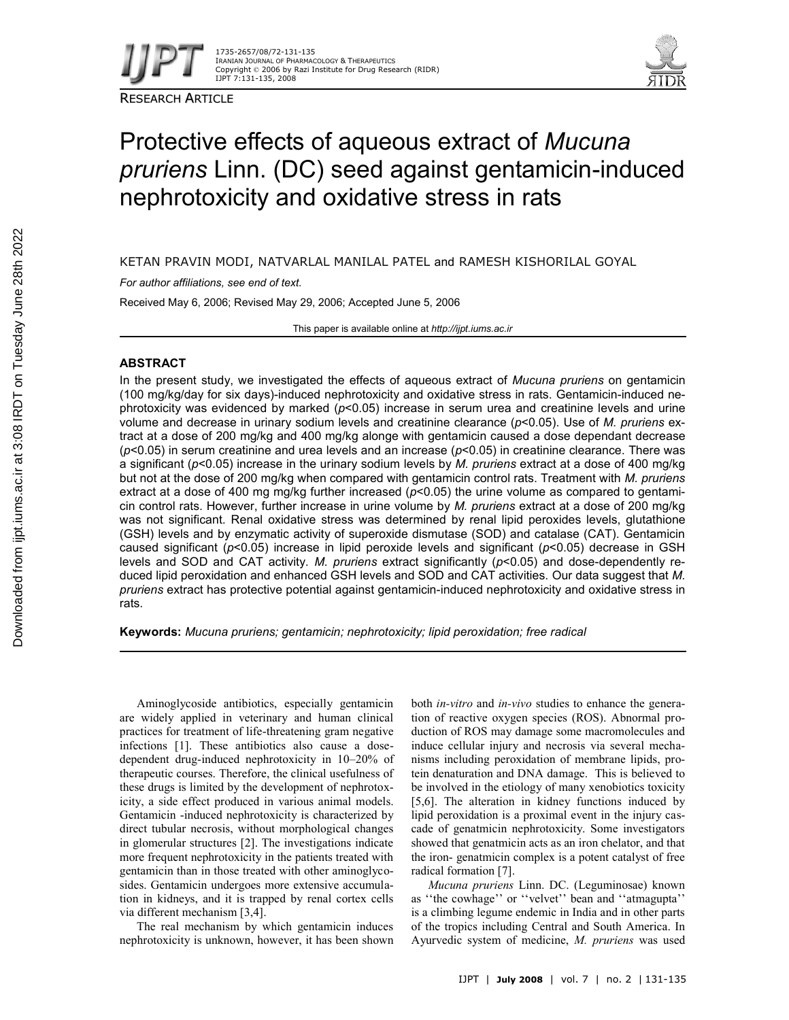

RESEARCH ARTICLE



# Protective effects of aqueous extract of *Mucuna pruriens* Linn. (DC) seed against gentamicin-induced nephrotoxicity and oxidative stress in rats

KETAN PRAVIN MODI, NATVARLAL MANILAL PATEL and RAMESH KISHORILAL GOYAL

*For author affiliations, see end of text.*

Received May 6, 2006; Revised May 29, 2006; Accepted June 5, 2006

This paper is available online at *http://ijpt.iums.ac.ir*

## **ABSTRACT**

In the present study, we investigated the effects of aqueous extract of *Mucuna pruriens* on gentamicin (100 mg/kg/day for six days)-induced nephrotoxicity and oxidative stress in rats. Gentamicin-induced nephrotoxicity was evidenced by marked ( $p$ <0.05) increase in serum urea and creatinine levels and urine volume and decrease in urinary sodium levels and creatinine clearance (*p*<0.05). Use of *M. pruriens* extract at a dose of 200 mg/kg and 400 mg/kg alonge with gentamicin caused a dose dependant decrease (*p*<0.05) in serum creatinine and urea levels and an increase (*p*<0.05) in creatinine clearance. There was a significant (*p*<0.05) increase in the urinary sodium levels by *M. pruriens* extract at a dose of 400 mg/kg but not at the dose of 200 mg/kg when compared with gentamicin control rats. Treatment with *M. pruriens* extract at a dose of 400 mg mg/kg further increased ( $p$ <0.05) the urine volume as compared to gentamicin control rats. However, further increase in urine volume by *M. pruriens* extract at a dose of 200 mg/kg was not significant. Renal oxidative stress was determined by renal lipid peroxides levels, glutathione (GSH) levels and by enzymatic activity of superoxide dismutase (SOD) and catalase (CAT). Gentamicin caused significant (*p*<0.05) increase in lipid peroxide levels and significant (*p*<0.05) decrease in GSH levels and SOD and CAT activity. *M. pruriens* extract significantly (*p*<0.05) and dose-dependently reduced lipid peroxidation and enhanced GSH levels and SOD and CAT activities. Our data suggest that *M. pruriens* extract has protective potential against gentamicin-induced nephrotoxicity and oxidative stress in rats.

**Keywords:** *Mucuna pruriens; gentamicin; nephrotoxicity; lipid peroxidation; free radical*

Aminoglycoside antibiotics, especially gentamicin are widely applied in veterinary and human clinical practices for treatment of life-threatening gram negative infections [1]. These antibiotics also cause a dosedependent drug-induced nephrotoxicity in 10–20% of therapeutic courses. Therefore, the clinical usefulness of these drugs is limited by the development of nephrotoxicity, a side effect produced in various animal models. Gentamicin -induced nephrotoxicity is characterized by direct tubular necrosis, without morphological changes in glomerular structures [2]. The investigations indicate more frequent nephrotoxicity in the patients treated with gentamicin than in those treated with other aminoglycosides. Gentamicin undergoes more extensive accumulation in kidneys, and it is trapped by renal cortex cells via different mechanism [3,4].

The real mechanism by which gentamicin induces nephrotoxicity is unknown, however, it has been shown both *in-vitro* and *in-vivo* studies to enhance the generation of reactive oxygen species (ROS). Abnormal production of ROS may damage some macromolecules and induce cellular injury and necrosis via several mechanisms including peroxidation of membrane lipids, protein denaturation and DNA damage. This is believed to be involved in the etiology of many xenobiotics toxicity [5,6]. The alteration in kidney functions induced by lipid peroxidation is a proximal event in the injury cascade of genatmicin nephrotoxicity. Some investigators showed that genatmicin acts as an iron chelator, and that the iron- genatmicin complex is a potent catalyst of free radical formation [7].

*Mucuna pruriens* Linn. DC. (Leguminosae) known as ''the cowhage'' or ''velvet'' bean and ''atmagupta'' is a climbing legume endemic in India and in other parts of the tropics including Central and South America. In Ayurvedic system of medicine, *M. pruriens* was used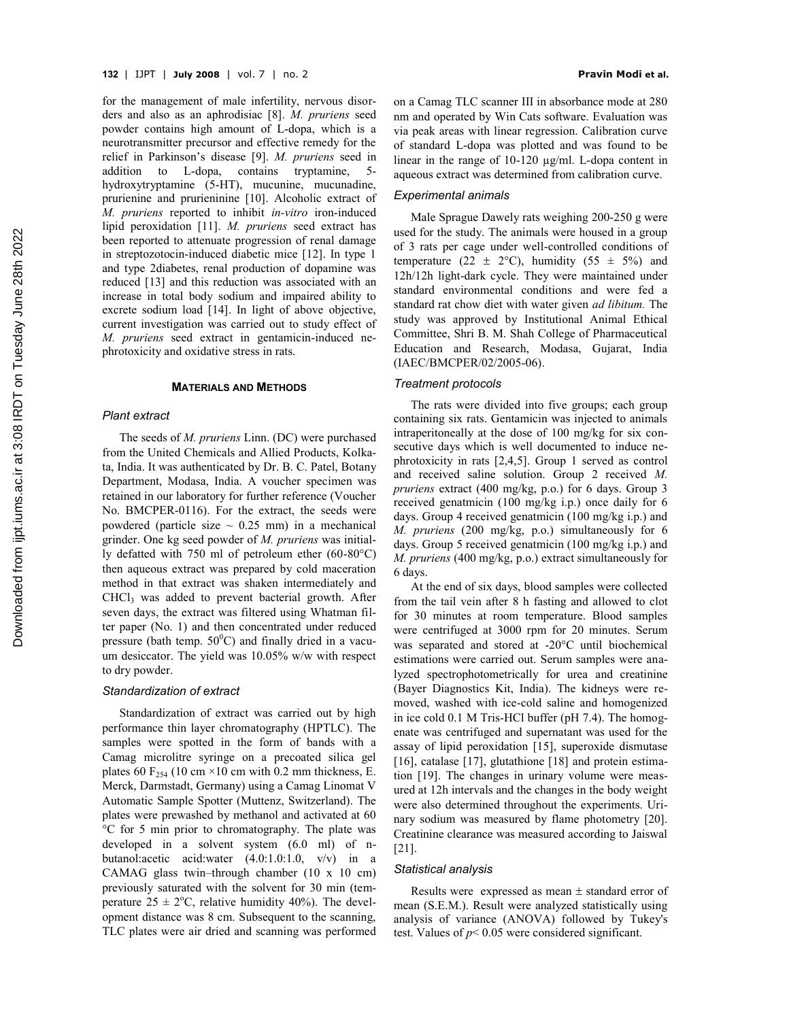for the management of male infertility, nervous disorders and also as an aphrodisiac [8]. *M. pruriens* seed powder contains high amount of L-dopa, which is a neurotransmitter precursor and effective remedy for the relief in Parkinson's disease [9]. *M. pruriens* seed in addition to L-dopa, contains tryptamine, 5 hydroxytryptamine (5-HT), mucunine, mucunadine, prurienine and prurieninine [10]. Alcoholic extract of *M. pruriens* reported to inhibit *in-vitro* iron-induced lipid peroxidation [11]. *M. pruriens* seed extract has been reported to attenuate progression of renal damage in streptozotocin-induced diabetic mice [12]. In type 1 and type 2diabetes, renal production of dopamine was reduced [13] and this reduction was associated with an increase in total body sodium and impaired ability to excrete sodium load [14]. In light of above objective, current investigation was carried out to study effect of *M. pruriens* seed extract in gentamicin-induced nephrotoxicity and oxidative stress in rats.

#### **MATERIALS AND METHODS**

## *Plant extract*

The seeds of *M. pruriens* Linn. (DC) were purchased from the United Chemicals and Allied Products, Kolkata, India. It was authenticated by Dr. B. C. Patel, Botany Department, Modasa, India. A voucher specimen was retained in our laboratory for further reference (Voucher No. BMCPER-0116). For the extract, the seeds were powdered (particle size  $\sim$  0.25 mm) in a mechanical grinder. One kg seed powder of *M. pruriens* was initially defatted with 750 ml of petroleum ether (60-80°C) then aqueous extract was prepared by cold maceration method in that extract was shaken intermediately and CHCl<sup>3</sup> was added to prevent bacterial growth. After seven days, the extract was filtered using Whatman filter paper (No. 1) and then concentrated under reduced pressure (bath temp.  $50^{\circ}$ C) and finally dried in a vacuum desiccator. The yield was 10.05% w/w with respect to dry powder.

#### *Standardization of extract*

Standardization of extract was carried out by high performance thin layer chromatography (HPTLC). The samples were spotted in the form of bands with a Camag microlitre syringe on a precoated silica gel plates 60  $F_{254}$  (10 cm ×10 cm with 0.2 mm thickness, E. Merck, Darmstadt, Germany) using a Camag Linomat V Automatic Sample Spotter (Muttenz, Switzerland). The plates were prewashed by methanol and activated at 60 °C for 5 min prior to chromatography. The plate was developed in a solvent system (6.0 ml) of nbutanol:acetic acid:water (4.0:1.0:1.0, v/v) in a CAMAG glass twin–through chamber (10 x 10 cm) previously saturated with the solvent for 30 min (temperature  $25 \pm 2$ °C, relative humidity 40%). The development distance was 8 cm. Subsequent to the scanning, TLC plates were air dried and scanning was performed

on a Camag TLC scanner III in absorbance mode at 280 nm and operated by Win Cats software. Evaluation was via peak areas with linear regression. Calibration curve of standard L-dopa was plotted and was found to be linear in the range of 10-120 µg/ml. L-dopa content in aqueous extract was determined from calibration curve.

#### *Experimental animals*

Male Sprague Dawely rats weighing 200-250 g were used for the study. The animals were housed in a group of 3 rats per cage under well-controlled conditions of temperature (22  $\pm$  2°C), humidity (55  $\pm$  5%) and 12h/12h light-dark cycle. They were maintained under standard environmental conditions and were fed a standard rat chow diet with water given *ad libitum.* The study was approved by Institutional Animal Ethical Committee, Shri B. M. Shah College of Pharmaceutical Education and Research, Modasa, Gujarat, India (IAEC/BMCPER/02/2005-06).

## *Treatment protocols*

The rats were divided into five groups; each group containing six rats. Gentamicin was injected to animals intraperitoneally at the dose of 100 mg/kg for six consecutive days which is well documented to induce nephrotoxicity in rats [2,4,5]. Group 1 served as control and received saline solution. Group 2 received *M. pruriens* extract (400 mg/kg, p.o.) for 6 days. Group 3 received genatmicin (100 mg/kg i.p.) once daily for 6 days. Group 4 received genatmicin (100 mg/kg i.p.) and *M. pruriens* (200 mg/kg, p.o.) simultaneously for 6 days. Group 5 received genatmicin (100 mg/kg i.p.) and *M. pruriens* (400 mg/kg, p.o.) extract simultaneously for 6 days.

At the end of six days, blood samples were collected from the tail vein after 8 h fasting and allowed to clot for 30 minutes at room temperature. Blood samples were centrifuged at 3000 rpm for 20 minutes. Serum was separated and stored at -20°C until biochemical estimations were carried out. Serum samples were analyzed spectrophotometrically for urea and creatinine (Bayer Diagnostics Kit, India). The kidneys were removed, washed with ice-cold saline and homogenized in ice cold 0.1 M Tris-HCl buffer (pH 7.4). The homogenate was centrifuged and supernatant was used for the assay of lipid peroxidation [15], superoxide dismutase [16], catalase [17], glutathione [18] and protein estimation [19]. The changes in urinary volume were measured at 12h intervals and the changes in the body weight were also determined throughout the experiments. Urinary sodium was measured by flame photometry [20]. Creatinine clearance was measured according to Jaiswal [21].

#### *Statistical analysis*

Results were expressed as mean  $\pm$  standard error of mean (S.E.M.). Result were analyzed statistically using analysis of variance (ANOVA) followed by Tukey's test. Values of  $p < 0.05$  were considered significant.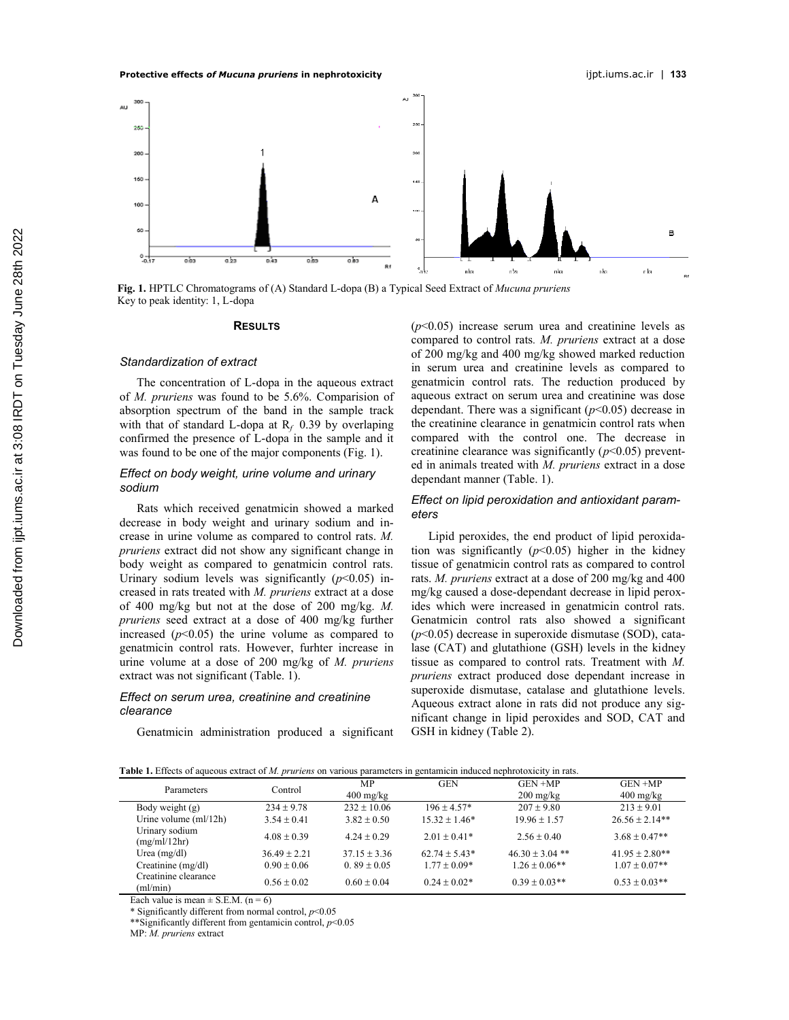

**Fig. 1.** HPTLC Chromatograms of (A) Standard L-dopa (B) a Typical Seed Extract of *Mucuna pruriens* Key to peak identity: 1, L-dopa

#### **RESULTS**

## *Standardization of extract*

The concentration of L-dopa in the aqueous extract of *M. pruriens* was found to be 5.6%. Comparision of absorption spectrum of the band in the sample track with that of standard L-dopa at  $R_f$  0.39 by overlaping confirmed the presence of L-dopa in the sample and it was found to be one of the major components (Fig. 1).

## *Effect on body weight, urine volume and urinary sodium*

Rats which received genatmicin showed a marked decrease in body weight and urinary sodium and increase in urine volume as compared to control rats. *M. pruriens* extract did not show any significant change in body weight as compared to genatmicin control rats. Urinary sodium levels was significantly  $(p<0.05)$  increased in rats treated with *M. pruriens* extract at a dose of 400 mg/kg but not at the dose of 200 mg/kg. *M. pruriens* seed extract at a dose of 400 mg/kg further increased  $(p<0.05)$  the urine volume as compared to genatmicin control rats. However, furhter increase in urine volume at a dose of 200 mg/kg of *M. pruriens* extract was not significant (Table. 1).

## *Effect on serum urea, creatinine and creatinine clearance*

Genatmicin administration produced a significant

 $(p<0.05)$  increase serum urea and creatinine levels as compared to control rats*. M. pruriens* extract at a dose of 200 mg/kg and 400 mg/kg showed marked reduction in serum urea and creatinine levels as compared to genatmicin control rats. The reduction produced by aqueous extract on serum urea and creatinine was dose dependant. There was a significant  $(p<0.05)$  decrease in the creatinine clearance in genatmicin control rats when compared with the control one. The decrease in creatinine clearance was significantly  $(p<0.05)$  prevented in animals treated with *M. pruriens* extract in a dose dependant manner (Table. 1).

## *Effect on lipid peroxidation and antioxidant parameters*

Lipid peroxides, the end product of lipid peroxidation was significantly  $(p<0.05)$  higher in the kidney tissue of genatmicin control rats as compared to control rats. *M. pruriens* extract at a dose of 200 mg/kg and 400 mg/kg caused a dose-dependant decrease in lipid peroxides which were increased in genatmicin control rats. Genatmicin control rats also showed a significant (*p*<0.05) decrease in superoxide dismutase (SOD), catalase (CAT) and glutathione (GSH) levels in the kidney tissue as compared to control rats. Treatment with *M. pruriens* extract produced dose dependant increase in superoxide dismutase, catalase and glutathione levels. Aqueous extract alone in rats did not produce any significant change in lipid peroxides and SOD, CAT and GSH in kidney (Table 2).

| Table 1. Effects of aqueous extract of M, pruriens on various parameters in gentamicin induced nephrotoxicity in rats |  |  |
|-----------------------------------------------------------------------------------------------------------------------|--|--|
|                                                                                                                       |  |  |

| г <b>абил 1.</b> Encels of aqueous extract of <i>m. pruriens</i> on various parameters in gemannem muuccu nephrotoxicity in rats. |                |                     |                  |                     |                     |  |  |
|-----------------------------------------------------------------------------------------------------------------------------------|----------------|---------------------|------------------|---------------------|---------------------|--|--|
| Parameters                                                                                                                        | Control        | MP                  | <b>GEN</b>       | $GEN + MP$          | $GEN + MP$          |  |  |
|                                                                                                                                   |                | $400 \text{ mg/kg}$ |                  | $200 \text{ mg/kg}$ | $400 \text{ mg/kg}$ |  |  |
| Body weight (g)                                                                                                                   | $234 + 9.78$   | $232 + 10.06$       | $196 + 4.57*$    | $207 + 9.80$        | $213 + 9.01$        |  |  |
| Urine volume $(ml/12h)$                                                                                                           | $3.54 + 0.41$  | $3.82 + 0.50$       | $15.32 + 1.46*$  | $19.96 + 1.57$      | $26.56 \pm 2.14**$  |  |  |
| Urinary sodium<br>(mg/ml/12hr)                                                                                                    | $4.08 + 0.39$  | $4.24 + 0.29$       | $2.01 + 0.41*$   | $2.56 + 0.40$       | $3.68 + 0.47**$     |  |  |
| Urea $(mg/dl)$                                                                                                                    | $36.49 + 2.21$ | $37.15 + 3.36$      | $62.74 + 5.43*$  | $46.30 + 3.04$ **   | $41.95 + 2.80**$    |  |  |
| Creatinine $(mg/dl)$                                                                                                              | $0.90 + 0.06$  | $0.89 \pm 0.05$     | $1.77 + 0.09*$   | $1.26 \pm 0.06$ **  | $1.07 + 0.07**$     |  |  |
| Creatinine clearance<br>(ml/min)                                                                                                  | $0.56 + 0.02$  | $0.60 + 0.04$       | $0.24 \pm 0.02*$ | $0.39 + 0.03**$     | $0.53 + 0.03**$     |  |  |

Each value is mean  $\pm$  S.E.M. (n = 6)

\* Significantly different from normal control, *p*<0.05

\*\*Significantly different from gentamicin control, *p*<0.05

MP: *M. pruriens* extract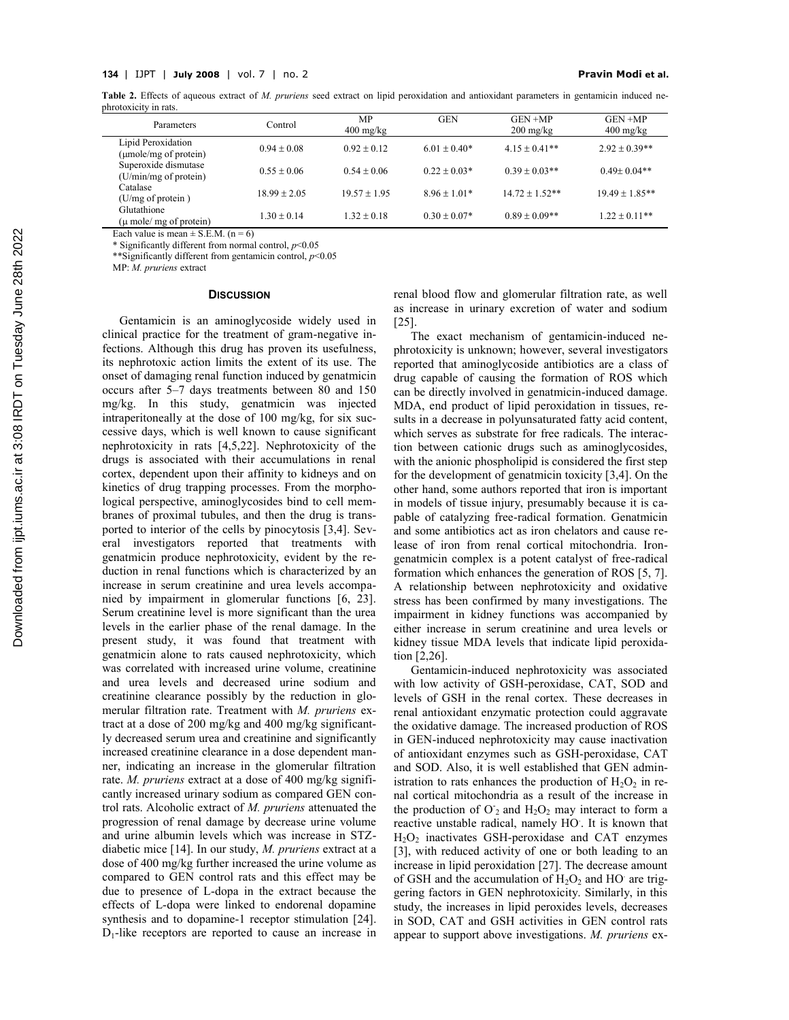Table 2. Effects of aqueous extract of *M. pruriens* seed extract on lipid peroxidation and antioxidant parameters in gentamicin induced nephrotoxicity in rats.

| Parameters                                    | Control         | <b>MP</b><br>$400 \text{ mg/kg}$ | <b>GEN</b>       | $GEN + MP$<br>$200 \text{ mg/kg}$ | $GEN + MP$<br>$400 \text{ mg/kg}$ |
|-----------------------------------------------|-----------------|----------------------------------|------------------|-----------------------------------|-----------------------------------|
| Lipid Peroxidation<br>(µmole/mg of protein)   | $0.94 + 0.08$   | $0.92 \pm 0.12$                  | $6.01 + 0.40*$   | $4.15 + 0.41**$                   | $2.92 + 0.39**$                   |
| Superoxide dismutase<br>(U/min/mg of protein) | $0.55 + 0.06$   | $0.54 + 0.06$                    | $0.22 + 0.03*$   | $0.39 \pm 0.03$ **                | $0.49 + 0.04**$                   |
| Catalase<br>(U/mg of protein)                 | $18.99 + 2.05$  | $19.57 + 1.95$                   | $8.96 \pm 1.01*$ | $14.72 \pm 1.52**$                | $19.49 + 1.85**$                  |
| Glutathione<br>$(\mu$ mole/ mg of protein)    | $1.30 \pm 0.14$ | $1.32 + 0.18$                    | $0.30 + 0.07*$   | $0.89 + 0.09**$                   | $1.22 + 0.11**$                   |

Each value is mean  $\pm$  S.E.M. (n = 6)

\* Significantly different from normal control, *p*<0.05

\*\*Significantly different from gentamicin control, *p*<0.05

MP: *M. pruriens* extract

## **DISCUSSION**

Gentamicin is an aminoglycoside widely used in clinical practice for the treatment of gram-negative infections. Although this drug has proven its usefulness, its nephrotoxic action limits the extent of its use. The onset of damaging renal function induced by genatmicin occurs after 5–7 days treatments between 80 and 150 mg/kg. In this study, genatmicin was injected intraperitoneally at the dose of 100 mg/kg, for six successive days, which is well known to cause significant nephrotoxicity in rats [4,5,22]. Nephrotoxicity of the drugs is associated with their accumulations in renal cortex, dependent upon their affinity to kidneys and on kinetics of drug trapping processes. From the morphological perspective, aminoglycosides bind to cell membranes of proximal tubules, and then the drug is transported to interior of the cells by pinocytosis [3,4]. Several investigators reported that treatments with genatmicin produce nephrotoxicity, evident by the reduction in renal functions which is characterized by an increase in serum creatinine and urea levels accompanied by impairment in glomerular functions [6, 23]. Serum creatinine level is more significant than the urea levels in the earlier phase of the renal damage. In the present study, it was found that treatment with genatmicin alone to rats caused nephrotoxicity, which was correlated with increased urine volume, creatinine and urea levels and decreased urine sodium and creatinine clearance possibly by the reduction in glomerular filtration rate. Treatment with *M. pruriens* extract at a dose of 200 mg/kg and 400 mg/kg significantly decreased serum urea and creatinine and significantly increased creatinine clearance in a dose dependent manner, indicating an increase in the glomerular filtration rate. *M. pruriens* extract at a dose of 400 mg/kg significantly increased urinary sodium as compared GEN control rats. Alcoholic extract of *M. pruriens* attenuated the progression of renal damage by decrease urine volume and urine albumin levels which was increase in STZdiabetic mice [14]. In our study, *M. pruriens* extract at a dose of 400 mg/kg further increased the urine volume as compared to GEN control rats and this effect may be due to presence of L-dopa in the extract because the effects of L-dopa were linked to endorenal dopamine synthesis and to dopamine-1 receptor stimulation [24].  $D_1$ -like receptors are reported to cause an increase in renal blood flow and glomerular filtration rate, as well as increase in urinary excretion of water and sodium [25].

The exact mechanism of gentamicin-induced nephrotoxicity is unknown; however, several investigators reported that aminoglycoside antibiotics are a class of drug capable of causing the formation of ROS which can be directly involved in genatmicin-induced damage. MDA, end product of lipid peroxidation in tissues, results in a decrease in polyunsaturated fatty acid content, which serves as substrate for free radicals. The interaction between cationic drugs such as aminoglycosides, with the anionic phospholipid is considered the first step for the development of genatmicin toxicity [3,4]. On the other hand, some authors reported that iron is important in models of tissue injury, presumably because it is capable of catalyzing free-radical formation. Genatmicin and some antibiotics act as iron chelators and cause release of iron from renal cortical mitochondria. Irongenatmicin complex is a potent catalyst of free-radical formation which enhances the generation of ROS [5, 7]. A relationship between nephrotoxicity and oxidative stress has been confirmed by many investigations. The impairment in kidney functions was accompanied by either increase in serum creatinine and urea levels or kidney tissue MDA levels that indicate lipid peroxidation [2,26].

Gentamicin-induced nephrotoxicity was associated with low activity of GSH-peroxidase, CAT, SOD and levels of GSH in the renal cortex. These decreases in renal antioxidant enzymatic protection could aggravate the oxidative damage. The increased production of ROS in GEN-induced nephrotoxicity may cause inactivation of antioxidant enzymes such as GSH-peroxidase, CAT and SOD. Also, it is well established that GEN administration to rats enhances the production of  $H_2O_2$  in renal cortical mitochondria as a result of the increase in the production of  $O_2$  and  $H_2O_2$  may interact to form a reactive unstable radical, namely HO. . It is known that H<sub>2</sub>O<sub>2</sub> inactivates GSH-peroxidase and CAT enzymes [3], with reduced activity of one or both leading to an increase in lipid peroxidation [27]. The decrease amount of GSH and the accumulation of  $H_2O_2$  and HO are triggering factors in GEN nephrotoxicity. Similarly, in this study, the increases in lipid peroxides levels, decreases in SOD, CAT and GSH activities in GEN control rats appear to support above investigations. *M. pruriens* ex-